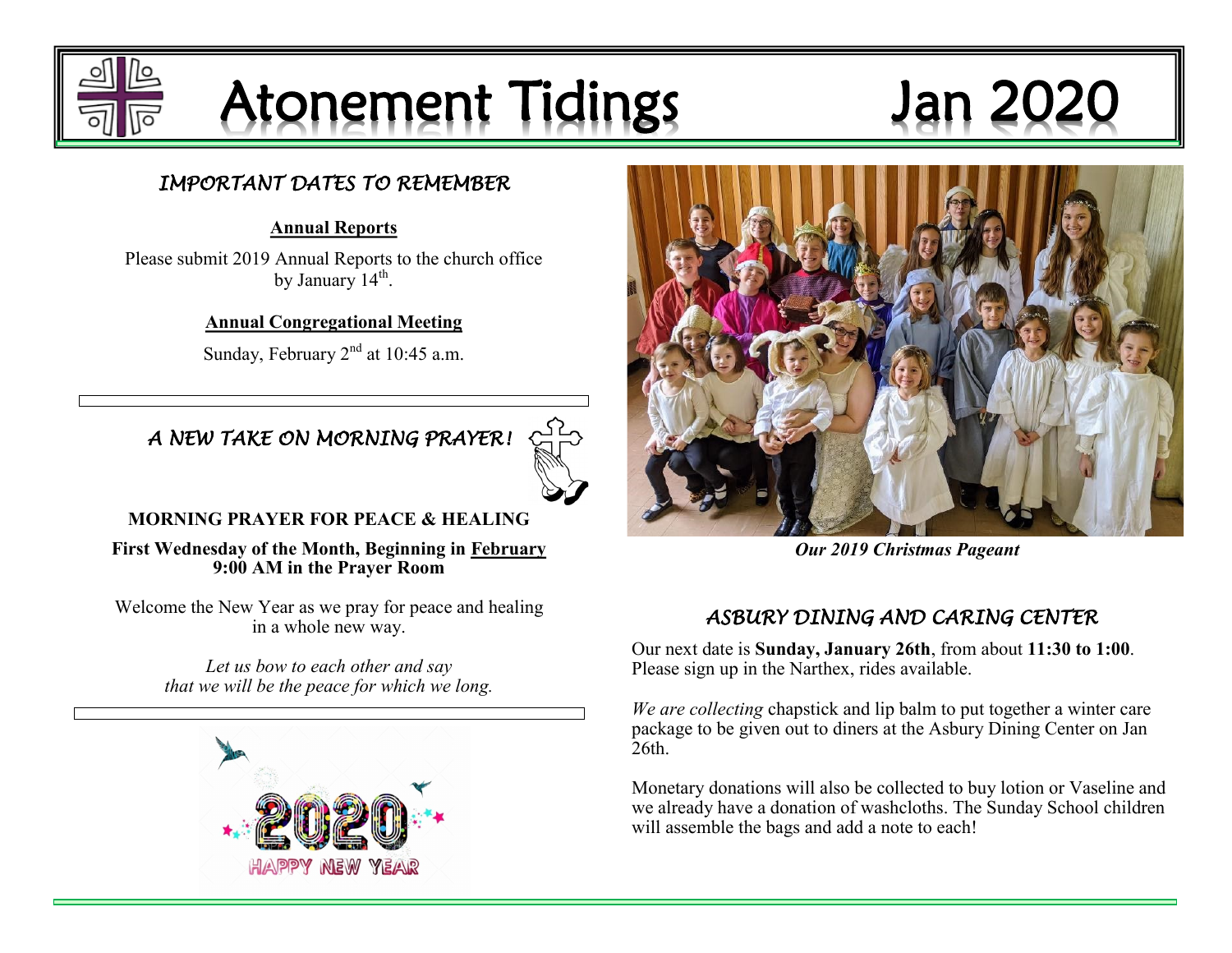

## Atonement Tidings Jan 2

#### *IMPORTANT DATES TO REMEMBER*

#### **Annual Reports**

Please submit 2019 Annual Reports to the church office by January  $14^{\text{th}}$ .

**Annual Congregational Meeting**

Sunday, February  $2<sup>nd</sup>$  at 10:45 a.m.



*A NEW TAKE ON MORNING PRAYER!* 

#### **MORNING PRAYER FOR PEACE & HEALING**

**First Wednesday of the Month, Beginning in February 9:00 AM in the Prayer Room**

Welcome the New Year as we pray for peace and healing in a whole new way.

> *Let us bow to each other and say that we will be the peace for which we long.*





*Our 2019 Christmas Pageant* 

## *ASBURY DINING AND CARING CENTER*

Our next date is **Sunday, January 26th**, from about **11:30 to 1:00**. Please sign up in the Narthex, rides available.

*We are collecting* chapstick and lip balm to put together a winter care package to be given out to diners at the Asbury Dining Center on Jan 26th.

Monetary donations will also be collected to buy lotion or Vaseline and we already have a donation of washcloths. The Sunday School children will assemble the bags and add a note to each!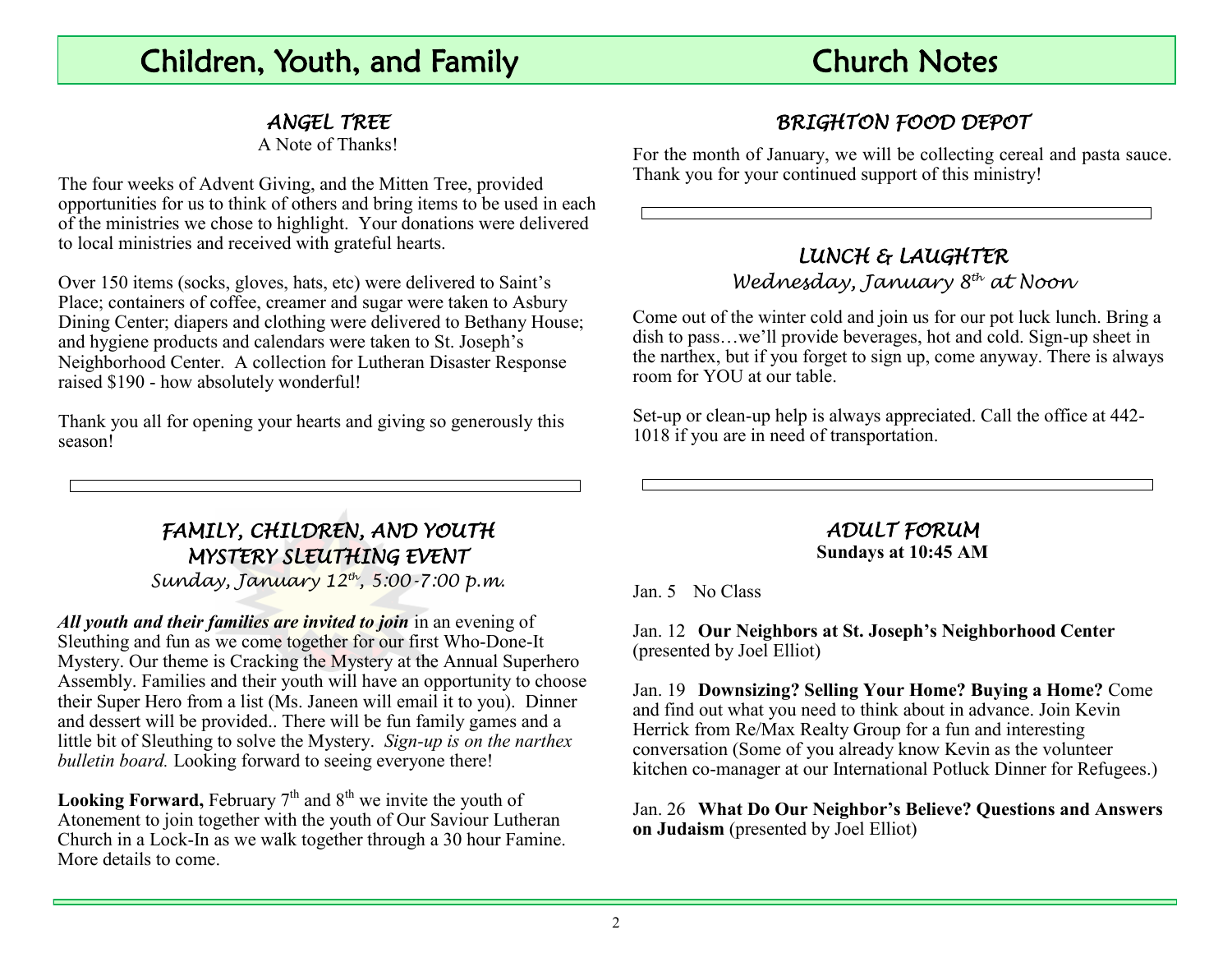## Children, Youth, and Family Church Notes

#### *ANGEL TREE*

A Note of Thanks!

The four weeks of Advent Giving, and the Mitten Tree, provided opportunities for us to think of others and bring items to be used in each of the ministries we chose to highlight. Your donations were delivered to local ministries and received with grateful hearts.

Over 150 items (socks, gloves, hats, etc) were delivered to Saint's Place; containers of coffee, creamer and sugar were taken to Asbury Dining Center; diapers and clothing were delivered to Bethany House; and hygiene products and calendars were taken to St. Joseph's Neighborhood Center. A collection for Lutheran Disaster Response raised \$190 - how absolutely wonderful!

Thank you all for opening your hearts and giving so generously this season!

## *BRIGHTON FOOD DEPOT*

For the month of January, we will be collecting cereal and pasta sauce. Thank you for your continued support of this ministry!

#### *LUNCH & LAUGHTER Wednesday, January 8th at Noon*

Come out of the winter cold and join us for our pot luck lunch. Bring a dish to pass…we'll provide beverages, hot and cold. Sign-up sheet in the narthex, but if you forget to sign up, come anyway. There is always room for YOU at our table.

Set-up or clean-up help is always appreciated. Call the office at 442- 1018 if you are in need of transportation.

#### *FAMILY, CHILDREN, AND YOUTH MYSTERY SLEUTHING EVENT*

*Sunday, January 12th, 5:00-7:00 p.m.*

*All youth and their families are invited to join* in an evening of Sleuthing and fun as we come together for our first Who-Done-It Mystery. Our theme is Cracking the Mystery at the Annual Superhero Assembly. Families and their youth will have an opportunity to choose their Super Hero from a list (Ms. Janeen will email it to you). Dinner and dessert will be provided.. There will be fun family games and a little bit of Sleuthing to solve the Mystery. *Sign-up is on the narthex bulletin board.* Looking forward to seeing everyone there!

**Looking Forward,** February  $7<sup>th</sup>$  and  $8<sup>th</sup>$  we invite the youth of Atonement to join together with the youth of Our Saviour Lutheran Church in a Lock-In as we walk together through a 30 hour Famine. More details to come.

#### *ADULT FORUM*  **Sundays at 10:45 AM**

Jan. 5 No Class

Jan. 12 **Our Neighbors at St. Joseph's Neighborhood Center** (presented by Joel Elliot)

Jan. 19 **Downsizing? Selling Your Home? Buying a Home?** Come and find out what you need to think about in advance. Join Kevin Herrick from Re/Max Realty Group for a fun and interesting conversation (Some of you already know Kevin as the volunteer kitchen co-manager at our International Potluck Dinner for Refugees.)

Jan. 26 **What Do Our Neighbor's Believe? Questions and Answers on Judaism** (presented by Joel Elliot)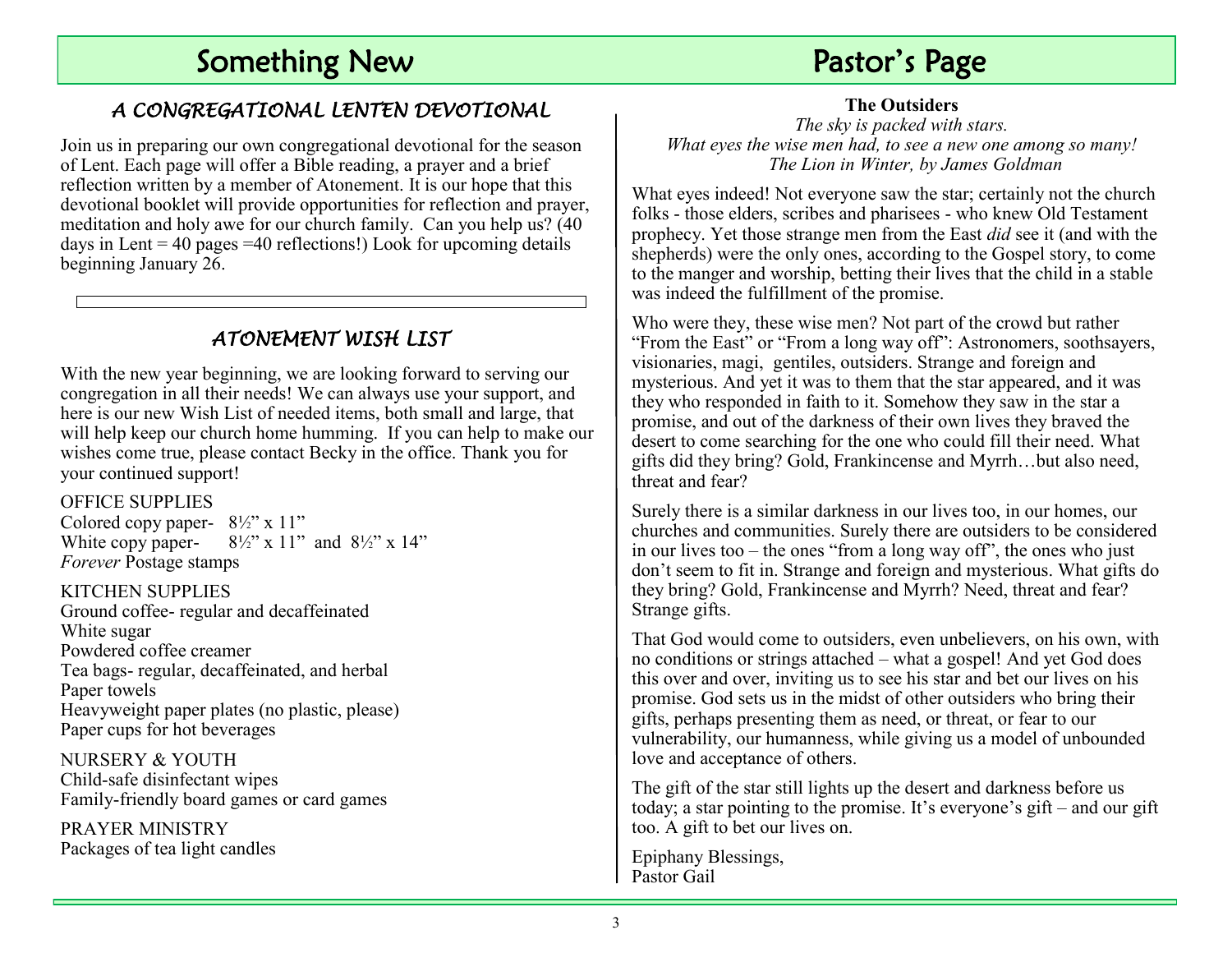## Something New **Pastor's Page**

#### *A CONGREGATIONAL LENTEN DEVOTIONAL*

Join us in preparing our own congregational devotional for the season of Lent. Each page will offer a Bible reading, a prayer and a brief reflection written by a member of Atonement. It is our hope that this devotional booklet will provide opportunities for reflection and prayer, meditation and holy awe for our church family. Can you help us? (40 days in Lent  $= 40$  pages  $= 40$  reflections!) Look for upcoming details beginning January 26.

#### *ATONEMENT WISH LIST*

With the new year beginning, we are looking forward to serving our congregation in all their needs! We can always use your support, and here is our new Wish List of needed items, both small and large, that will help keep our church home humming. If you can help to make our wishes come true, please contact Becky in the office. Thank you for your continued support!

#### OFFICE SUPPLIES

Colored copy paper-  $8\frac{1}{2}$ " x 11" White copy paper-  $8\frac{1}{2}$ " x 11" and  $8\frac{1}{2}$ " x 14" *Forever* Postage stamps

KITCHEN SUPPLIES Ground coffee- regular and decaffeinated White sugar Powdered coffee creamer Tea bags- regular, decaffeinated, and herbal Paper towels Heavyweight paper plates (no plastic, please) Paper cups for hot beverages

NURSERY & YOUTH Child-safe disinfectant wipes Family-friendly board games or card games

PRAYER MINISTRY Packages of tea light candles **The Outsiders**

*The sky is packed with stars. What eyes the wise men had, to see a new one among so many! The Lion in Winter, by James Goldman*

What eyes indeed! Not everyone saw the star; certainly not the church folks - those elders, scribes and pharisees - who knew Old Testament prophecy. Yet those strange men from the East *did* see it (and with the shepherds) were the only ones, according to the Gospel story, to come to the manger and worship, betting their lives that the child in a stable was indeed the fulfillment of the promise.

Who were they, these wise men? Not part of the crowd but rather "From the East" or "From a long way off": Astronomers, soothsayers, visionaries, magi, gentiles, outsiders. Strange and foreign and mysterious. And yet it was to them that the star appeared, and it was they who responded in faith to it. Somehow they saw in the star a promise, and out of the darkness of their own lives they braved the desert to come searching for the one who could fill their need. What gifts did they bring? Gold, Frankincense and Myrrh…but also need, threat and fear?

Surely there is a similar darkness in our lives too, in our homes, our churches and communities. Surely there are outsiders to be considered in our lives too – the ones "from a long way off", the ones who just don't seem to fit in. Strange and foreign and mysterious. What gifts do they bring? Gold, Frankincense and Myrrh? Need, threat and fear? Strange gifts.

That God would come to outsiders, even unbelievers, on his own, with no conditions or strings attached – what a gospel! And yet God does this over and over, inviting us to see his star and bet our lives on his promise. God sets us in the midst of other outsiders who bring their gifts, perhaps presenting them as need, or threat, or fear to our vulnerability, our humanness, while giving us a model of unbounded love and acceptance of others.

The gift of the star still lights up the desert and darkness before us today; a star pointing to the promise. It's everyone's gift – and our gift too. A gift to bet our lives on.

Epiphany Blessings, Pastor Gail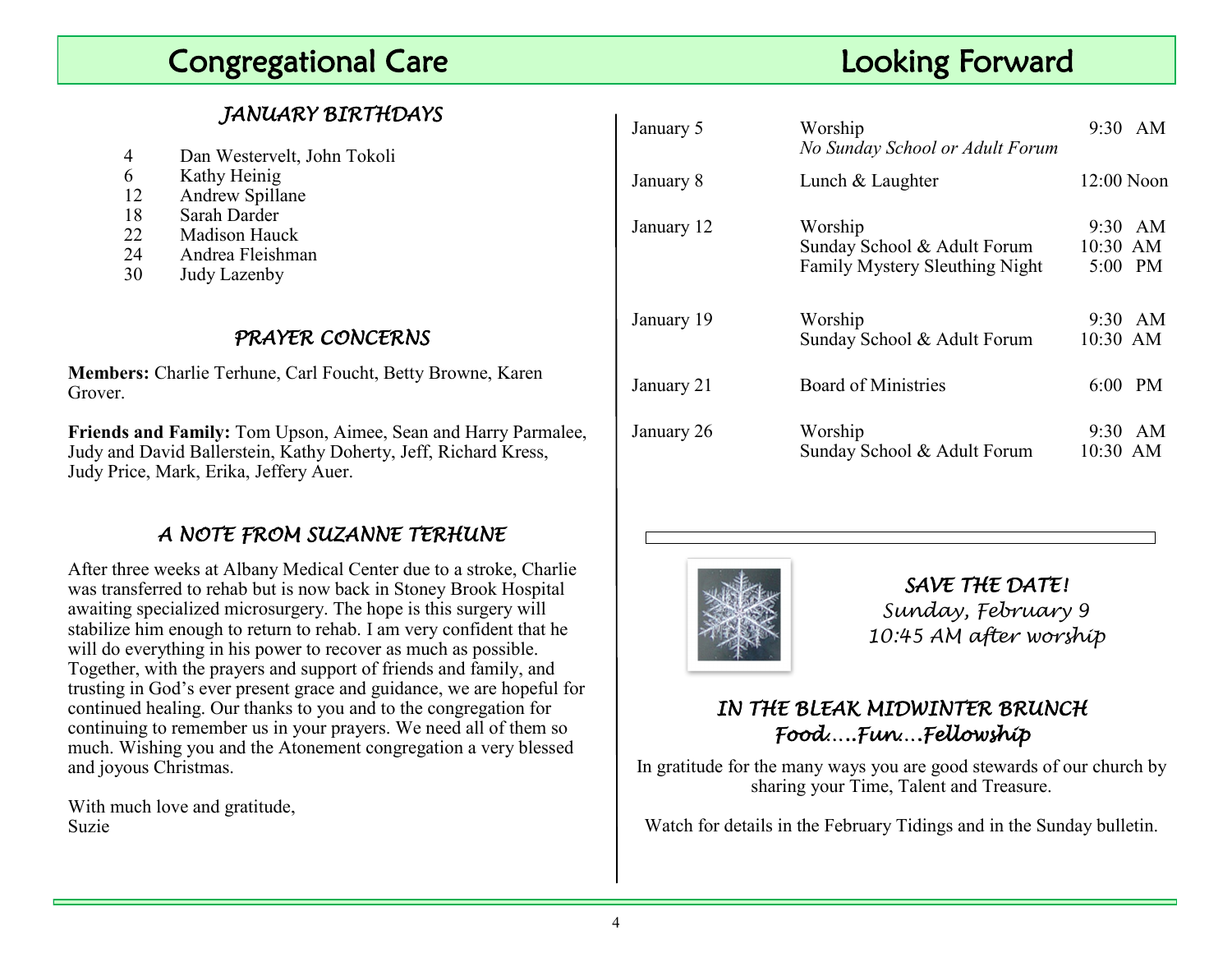## **Participal Care Congregational Care Congregational Care Looking Forward Looking Forward**

#### *JANUARY BIRTHDAYS*

| 4 |  | Dan Westervelt, John Tokoli |  |  |
|---|--|-----------------------------|--|--|
|---|--|-----------------------------|--|--|

- 6 Kathy Heinig
- 12 Andrew Spillane
- 18 Sarah Darder
- 22 Madison Hauck
- 24 Andrea Fleishman
- 30 Judy Lazenby

#### *PRAYER CONCERNS*

**Members:** Charlie Terhune, Carl Foucht, Betty Browne, Karen Grover.

**Friends and Family:** Tom Upson, Aimee, Sean and Harry Parmalee, Judy and David Ballerstein, Kathy Doherty, Jeff, Richard Kress, Judy Price, Mark, Erika, Jeffery Auer.

#### *A NOTE FROM SUZANNE TERHUNE*

After three weeks at Albany Medical Center due to a stroke, Charlie was transferred to rehab but is now back in Stoney Brook Hospital awaiting specialized microsurgery. The hope is this surgery will stabilize him enough to return to rehab. I am very confident that he will do everything in his power to recover as much as possible. Together, with the prayers and support of friends and family, and trusting in God's ever present grace and guidance, we are hopeful for continued healing. Our thanks to you and to the congregation for continuing to remember us in your prayers. We need all of them so much. Wishing you and the Atonement congregation a very blessed and joyous Christmas.

With much love and gratitude, Suzie

| January 5  | Worship<br>No Sunday School or Adult Forum                               |                       | $9:30$ AM |
|------------|--------------------------------------------------------------------------|-----------------------|-----------|
| January 8  | Lunch & Laughter                                                         | $12:00$ Noon          |           |
| January 12 | Worship<br>Sunday School & Adult Forum<br>Family Mystery Sleuthing Night | 10:30 AM<br>5:00 PM   | 9:30 AM   |
| January 19 | Worship<br>Sunday School & Adult Forum                                   | $9:30$ AM<br>10:30 AM |           |
| January 21 | Board of Ministries                                                      | 6:00                  | <b>PM</b> |
| January 26 | Worship<br>Sunday School & Adult Forum                                   | 9:30<br>10:30 AM      | AM        |



*SAVE THE DATE! Sunday, February 9 10:45 AM after worship*

#### *IN THE BLEAK MIDWINTER BRUNCH Food…..Fun….Fellowship*

In gratitude for the many ways you are good stewards of our church by sharing your Time, Talent and Treasure.

Watch for details in the February Tidings and in the Sunday bulletin.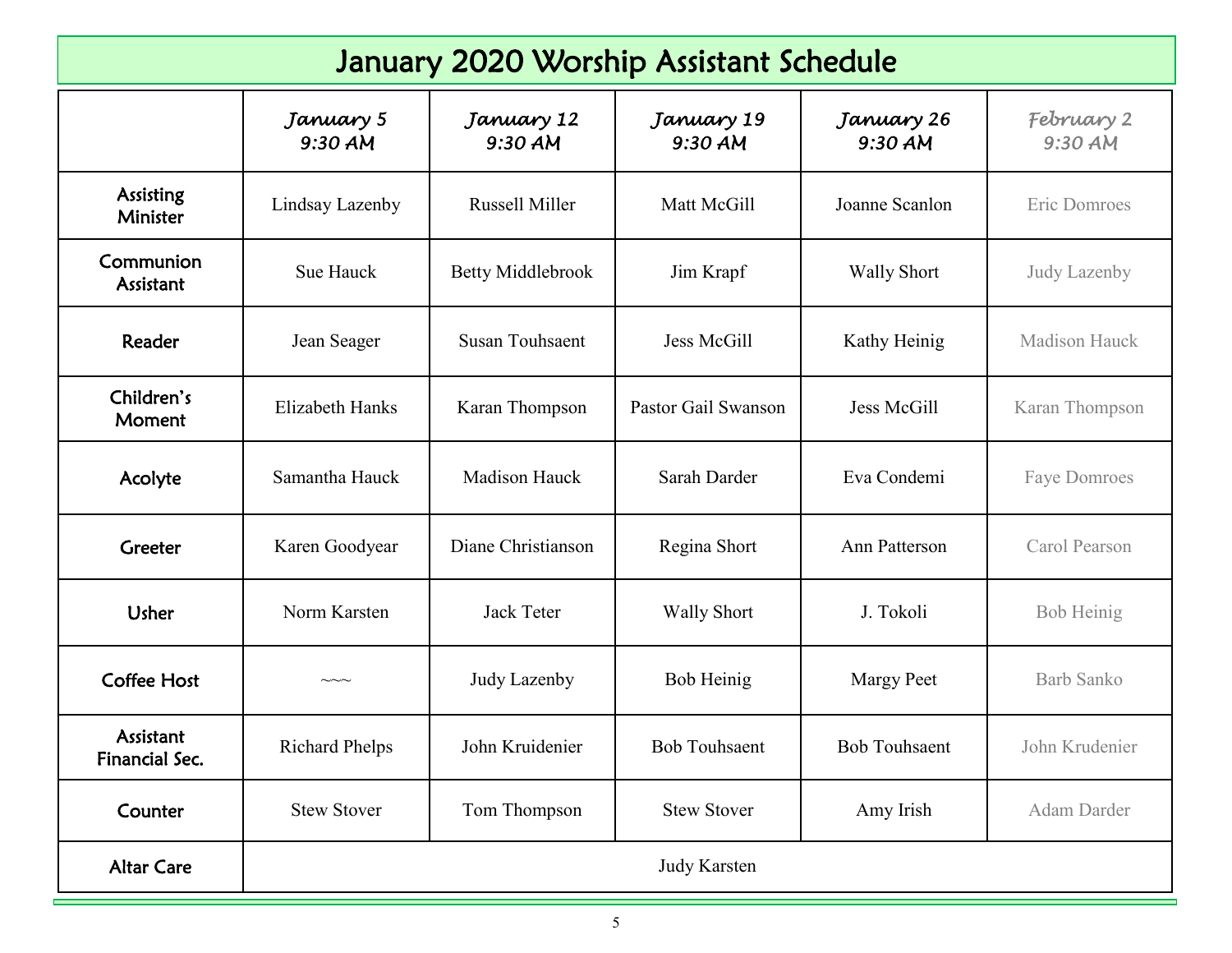| January 2020 Worship Assistant Schedule |                        |                          |                       |                       |                       |  |  |  |
|-----------------------------------------|------------------------|--------------------------|-----------------------|-----------------------|-----------------------|--|--|--|
|                                         | January 5<br>9:30 AM   | January 12<br>9:30 AM    | January 19<br>9:30 AM | January 26<br>9:30 AM | February 2<br>9:30 AM |  |  |  |
| <b>Assisting</b><br>Minister            | Lindsay Lazenby        | Russell Miller           | Matt McGill           | Joanne Scanlon        | Eric Domroes          |  |  |  |
| Communion<br>Assistant                  | Sue Hauck              | <b>Betty Middlebrook</b> | Jim Krapf             | <b>Wally Short</b>    | Judy Lazenby          |  |  |  |
| Reader                                  | Jean Seager            | <b>Susan Touhsaent</b>   | Jess McGill           | Kathy Heinig          | <b>Madison Hauck</b>  |  |  |  |
| Children's<br>Moment                    | <b>Elizabeth Hanks</b> | Karan Thompson           | Pastor Gail Swanson   | Jess McGill           | Karan Thompson        |  |  |  |
| Acolyte                                 | Samantha Hauck         | <b>Madison Hauck</b>     | Sarah Darder          | Eva Condemi           | <b>Faye Domroes</b>   |  |  |  |
| Greeter                                 | Karen Goodyear         | Diane Christianson       | Regina Short          | Ann Patterson         | Carol Pearson         |  |  |  |
| <b>Usher</b>                            | Norm Karsten           | <b>Jack Teter</b>        | <b>Wally Short</b>    | J. Tokoli             | Bob Heinig            |  |  |  |
| <b>Coffee Host</b>                      | $\sim\sim\sim$         | Judy Lazenby             | Bob Heinig            | <b>Margy Peet</b>     | <b>Barb Sanko</b>     |  |  |  |
| Assistant<br>Financial Sec.             | <b>Richard Phelps</b>  | John Kruidenier          | <b>Bob Touhsaent</b>  | <b>Bob Touhsaent</b>  | John Krudenier        |  |  |  |
| Counter                                 | <b>Stew Stover</b>     | Tom Thompson             | <b>Stew Stover</b>    | Amy Irish             | Adam Darder           |  |  |  |
| <b>Altar Care</b>                       | <b>Judy Karsten</b>    |                          |                       |                       |                       |  |  |  |